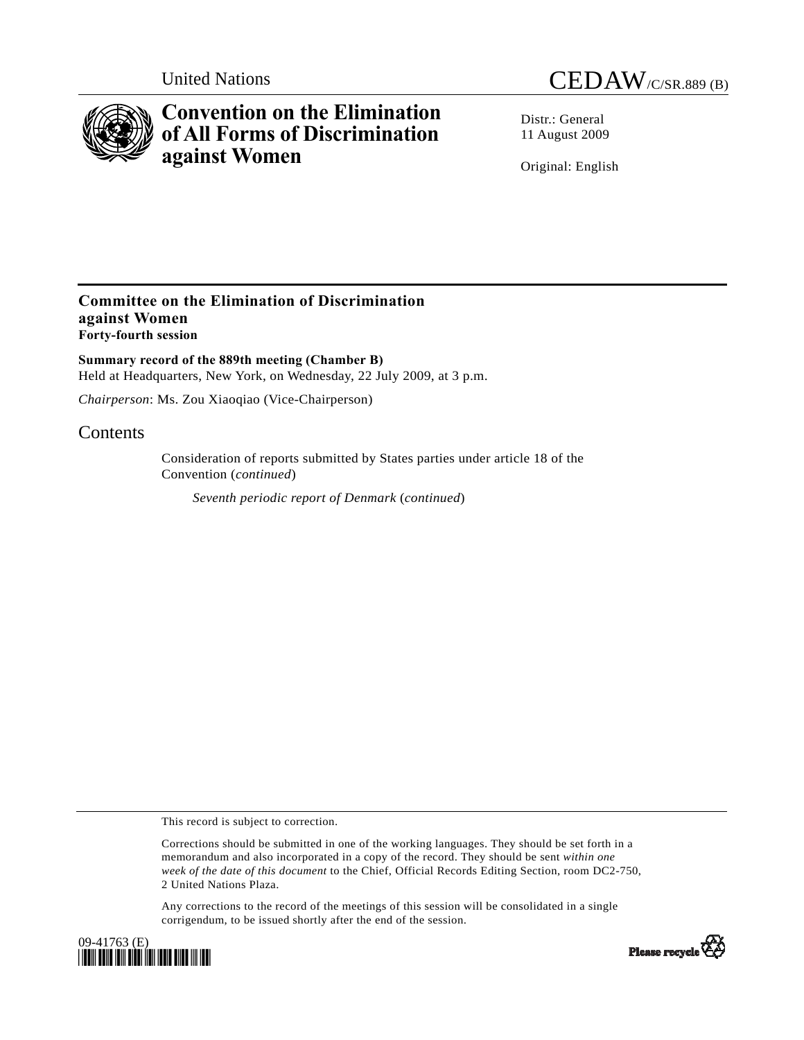

# **Convention on the Elimination of All Forms of Discrimination against Women**



Distr · General 11 August 2009

Original: English

### **Committee on the Elimination of Discrimination against Women Forty-fourth session**

**Summary record of the 889th meeting (Chamber B)**  Held at Headquarters, New York, on Wednesday, 22 July 2009, at 3 p.m.

*Chairperson*: Ms. Zou Xiaoqiao (Vice-Chairperson)

## **Contents**

Consideration of reports submitted by States parties under article 18 of the Convention (*continued*)

*Seventh periodic report of Denmark* (*continued*)

This record is subject to correction.

Corrections should be submitted in one of the working languages. They should be set forth in a memorandum and also incorporated in a copy of the record. They should be sent *within one week of the date of this document* to the Chief, Official Records Editing Section, room DC2-750, 2 United Nations Plaza.

Any corrections to the record of the meetings of this session will be consolidated in a single corrigendum, to be issued shortly after the end of the session.



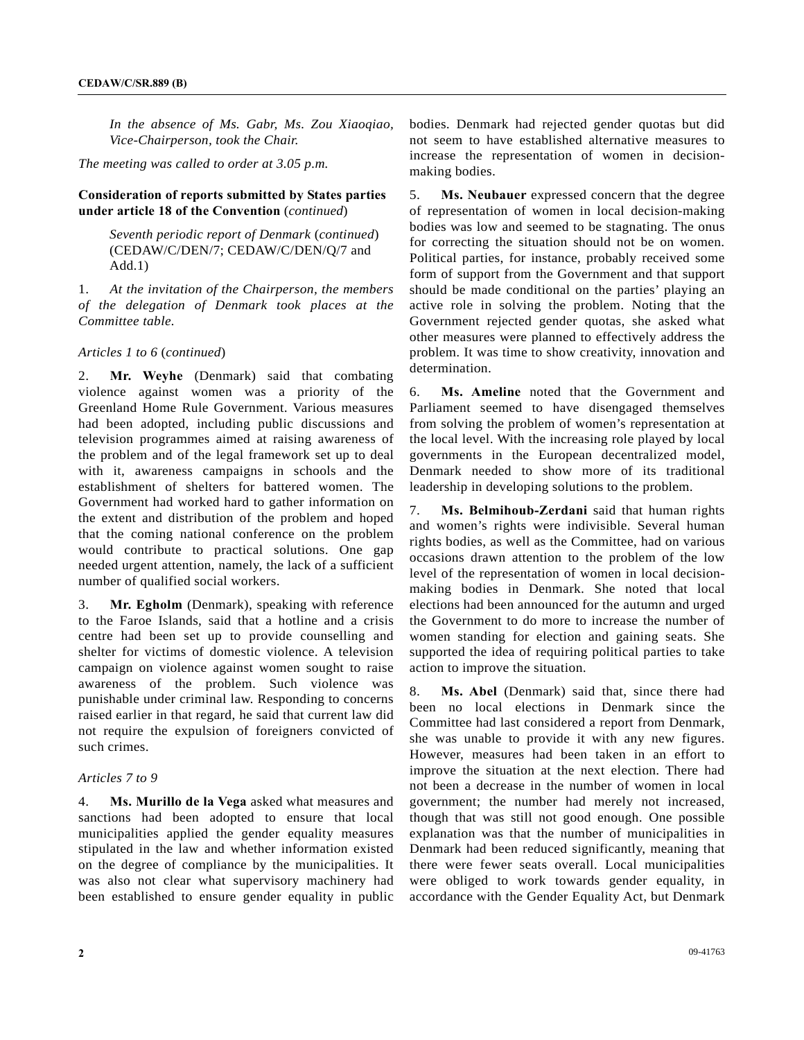*In the absence of Ms. Gabr, Ms. Zou Xiaoqiao, Vice-Chairperson, took the Chair.* 

*The meeting was called to order at 3.05 p.m.* 

#### **Consideration of reports submitted by States parties under article 18 of the Convention** (*continued*)

 *Seventh periodic report of Denmark* (*continued*) (CEDAW/C/DEN/7; CEDAW/C/DEN/Q/7 and Add.1)

1. *At the invitation of the Chairperson, the members of the delegation of Denmark took places at the Committee table.* 

#### *Articles 1 to 6* (*continued*)

2. **Mr. Weyhe** (Denmark) said that combating violence against women was a priority of the Greenland Home Rule Government. Various measures had been adopted, including public discussions and television programmes aimed at raising awareness of the problem and of the legal framework set up to deal with it, awareness campaigns in schools and the establishment of shelters for battered women. The Government had worked hard to gather information on the extent and distribution of the problem and hoped that the coming national conference on the problem would contribute to practical solutions. One gap needed urgent attention, namely, the lack of a sufficient number of qualified social workers.

3. **Mr. Egholm** (Denmark), speaking with reference to the Faroe Islands, said that a hotline and a crisis centre had been set up to provide counselling and shelter for victims of domestic violence. A television campaign on violence against women sought to raise awareness of the problem. Such violence was punishable under criminal law. Responding to concerns raised earlier in that regard, he said that current law did not require the expulsion of foreigners convicted of such crimes.

#### *Articles 7 to 9*

4. **Ms. Murillo de la Vega** asked what measures and sanctions had been adopted to ensure that local municipalities applied the gender equality measures stipulated in the law and whether information existed on the degree of compliance by the municipalities. It was also not clear what supervisory machinery had been established to ensure gender equality in public

bodies. Denmark had rejected gender quotas but did not seem to have established alternative measures to increase the representation of women in decisionmaking bodies.

5. **Ms. Neubauer** expressed concern that the degree of representation of women in local decision-making bodies was low and seemed to be stagnating. The onus for correcting the situation should not be on women. Political parties, for instance, probably received some form of support from the Government and that support should be made conditional on the parties' playing an active role in solving the problem. Noting that the Government rejected gender quotas, she asked what other measures were planned to effectively address the problem. It was time to show creativity, innovation and determination.

6. **Ms. Ameline** noted that the Government and Parliament seemed to have disengaged themselves from solving the problem of women's representation at the local level. With the increasing role played by local governments in the European decentralized model, Denmark needed to show more of its traditional leadership in developing solutions to the problem.

7. **Ms. Belmihoub-Zerdani** said that human rights and women's rights were indivisible. Several human rights bodies, as well as the Committee, had on various occasions drawn attention to the problem of the low level of the representation of women in local decisionmaking bodies in Denmark. She noted that local elections had been announced for the autumn and urged the Government to do more to increase the number of women standing for election and gaining seats. She supported the idea of requiring political parties to take action to improve the situation.

8. **Ms. Abel** (Denmark) said that, since there had been no local elections in Denmark since the Committee had last considered a report from Denmark, she was unable to provide it with any new figures. However, measures had been taken in an effort to improve the situation at the next election. There had not been a decrease in the number of women in local government; the number had merely not increased, though that was still not good enough. One possible explanation was that the number of municipalities in Denmark had been reduced significantly, meaning that there were fewer seats overall. Local municipalities were obliged to work towards gender equality, in accordance with the Gender Equality Act, but Denmark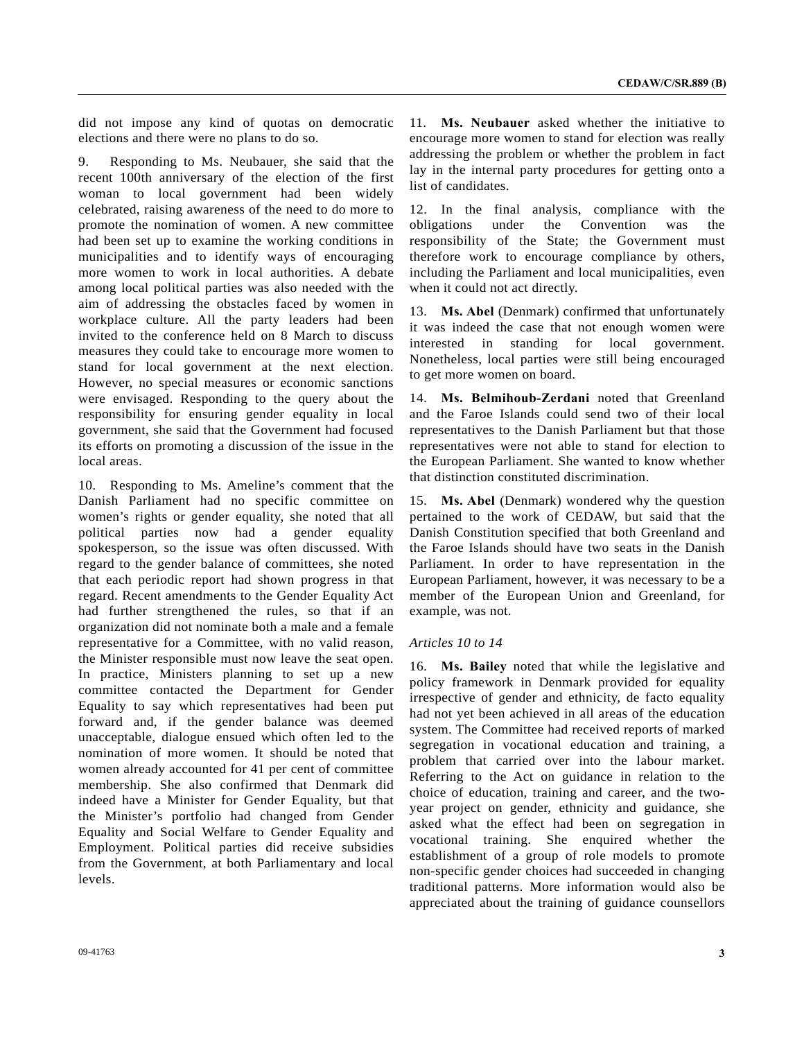did not impose any kind of quotas on democratic elections and there were no plans to do so.

9. Responding to Ms. Neubauer, she said that the recent 100th anniversary of the election of the first woman to local government had been widely celebrated, raising awareness of the need to do more to promote the nomination of women. A new committee had been set up to examine the working conditions in municipalities and to identify ways of encouraging more women to work in local authorities. A debate among local political parties was also needed with the aim of addressing the obstacles faced by women in workplace culture. All the party leaders had been invited to the conference held on 8 March to discuss measures they could take to encourage more women to stand for local government at the next election. However, no special measures or economic sanctions were envisaged. Responding to the query about the responsibility for ensuring gender equality in local government, she said that the Government had focused its efforts on promoting a discussion of the issue in the local areas.

10. Responding to Ms. Ameline's comment that the Danish Parliament had no specific committee on women's rights or gender equality, she noted that all political parties now had a gender equality spokesperson, so the issue was often discussed. With regard to the gender balance of committees, she noted that each periodic report had shown progress in that regard. Recent amendments to the Gender Equality Act had further strengthened the rules, so that if an organization did not nominate both a male and a female representative for a Committee, with no valid reason, the Minister responsible must now leave the seat open. In practice, Ministers planning to set up a new committee contacted the Department for Gender Equality to say which representatives had been put forward and, if the gender balance was deemed unacceptable, dialogue ensued which often led to the nomination of more women. It should be noted that women already accounted for 41 per cent of committee membership. She also confirmed that Denmark did indeed have a Minister for Gender Equality, but that the Minister's portfolio had changed from Gender Equality and Social Welfare to Gender Equality and Employment. Political parties did receive subsidies from the Government, at both Parliamentary and local levels.

11. **Ms. Neubauer** asked whether the initiative to encourage more women to stand for election was really addressing the problem or whether the problem in fact lay in the internal party procedures for getting onto a list of candidates.

12. In the final analysis, compliance with the obligations under the Convention was the responsibility of the State; the Government must therefore work to encourage compliance by others, including the Parliament and local municipalities, even when it could not act directly.

13. **Ms. Abel** (Denmark) confirmed that unfortunately it was indeed the case that not enough women were interested in standing for local government. Nonetheless, local parties were still being encouraged to get more women on board.

14. **Ms. Belmihoub-Zerdani** noted that Greenland and the Faroe Islands could send two of their local representatives to the Danish Parliament but that those representatives were not able to stand for election to the European Parliament. She wanted to know whether that distinction constituted discrimination.

15. **Ms. Abel** (Denmark) wondered why the question pertained to the work of CEDAW, but said that the Danish Constitution specified that both Greenland and the Faroe Islands should have two seats in the Danish Parliament. In order to have representation in the European Parliament, however, it was necessary to be a member of the European Union and Greenland, for example, was not.

#### *Articles 10 to 14*

16. **Ms. Bailey** noted that while the legislative and policy framework in Denmark provided for equality irrespective of gender and ethnicity, de facto equality had not yet been achieved in all areas of the education system. The Committee had received reports of marked segregation in vocational education and training, a problem that carried over into the labour market. Referring to the Act on guidance in relation to the choice of education, training and career, and the twoyear project on gender, ethnicity and guidance, she asked what the effect had been on segregation in vocational training. She enquired whether the establishment of a group of role models to promote non-specific gender choices had succeeded in changing traditional patterns. More information would also be appreciated about the training of guidance counsellors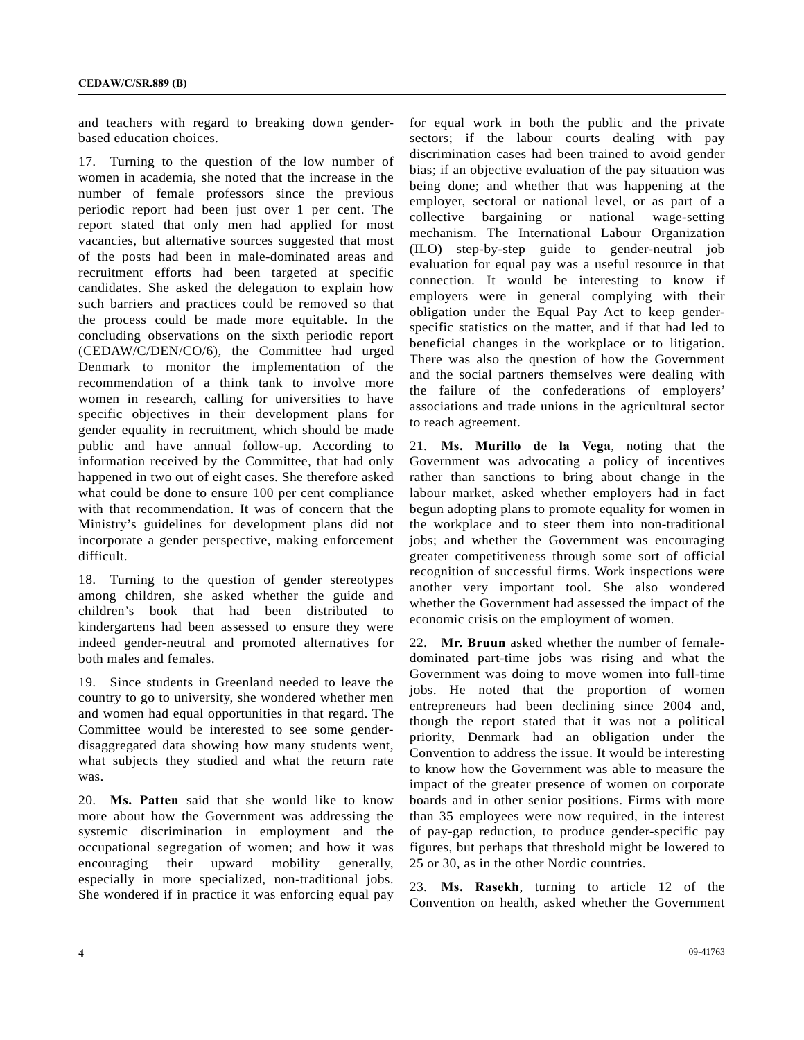and teachers with regard to breaking down genderbased education choices.

17. Turning to the question of the low number of women in academia, she noted that the increase in the number of female professors since the previous periodic report had been just over 1 per cent. The report stated that only men had applied for most vacancies, but alternative sources suggested that most of the posts had been in male-dominated areas and recruitment efforts had been targeted at specific candidates. She asked the delegation to explain how such barriers and practices could be removed so that the process could be made more equitable. In the concluding observations on the sixth periodic report (CEDAW/C/DEN/CO/6), the Committee had urged Denmark to monitor the implementation of the recommendation of a think tank to involve more women in research, calling for universities to have specific objectives in their development plans for gender equality in recruitment, which should be made public and have annual follow-up. According to information received by the Committee, that had only happened in two out of eight cases. She therefore asked what could be done to ensure 100 per cent compliance with that recommendation. It was of concern that the Ministry's guidelines for development plans did not incorporate a gender perspective, making enforcement difficult.

18. Turning to the question of gender stereotypes among children, she asked whether the guide and children's book that had been distributed to kindergartens had been assessed to ensure they were indeed gender-neutral and promoted alternatives for both males and females.

19. Since students in Greenland needed to leave the country to go to university, she wondered whether men and women had equal opportunities in that regard. The Committee would be interested to see some genderdisaggregated data showing how many students went, what subjects they studied and what the return rate was.

20. **Ms. Patten** said that she would like to know more about how the Government was addressing the systemic discrimination in employment and the occupational segregation of women; and how it was encouraging their upward mobility generally, especially in more specialized, non-traditional jobs. She wondered if in practice it was enforcing equal pay for equal work in both the public and the private sectors; if the labour courts dealing with pay discrimination cases had been trained to avoid gender bias; if an objective evaluation of the pay situation was being done; and whether that was happening at the employer, sectoral or national level, or as part of a collective bargaining or national wage-setting mechanism. The International Labour Organization (ILO) step-by-step guide to gender-neutral job evaluation for equal pay was a useful resource in that connection. It would be interesting to know if employers were in general complying with their obligation under the Equal Pay Act to keep genderspecific statistics on the matter, and if that had led to beneficial changes in the workplace or to litigation. There was also the question of how the Government and the social partners themselves were dealing with the failure of the confederations of employers' associations and trade unions in the agricultural sector to reach agreement.

21. **Ms. Murillo de la Vega**, noting that the Government was advocating a policy of incentives rather than sanctions to bring about change in the labour market, asked whether employers had in fact begun adopting plans to promote equality for women in the workplace and to steer them into non-traditional jobs; and whether the Government was encouraging greater competitiveness through some sort of official recognition of successful firms. Work inspections were another very important tool. She also wondered whether the Government had assessed the impact of the economic crisis on the employment of women.

22. **Mr. Bruun** asked whether the number of femaledominated part-time jobs was rising and what the Government was doing to move women into full-time jobs. He noted that the proportion of women entrepreneurs had been declining since 2004 and, though the report stated that it was not a political priority, Denmark had an obligation under the Convention to address the issue. It would be interesting to know how the Government was able to measure the impact of the greater presence of women on corporate boards and in other senior positions. Firms with more than 35 employees were now required, in the interest of pay-gap reduction, to produce gender-specific pay figures, but perhaps that threshold might be lowered to 25 or 30, as in the other Nordic countries.

23. **Ms. Rasekh**, turning to article 12 of the Convention on health, asked whether the Government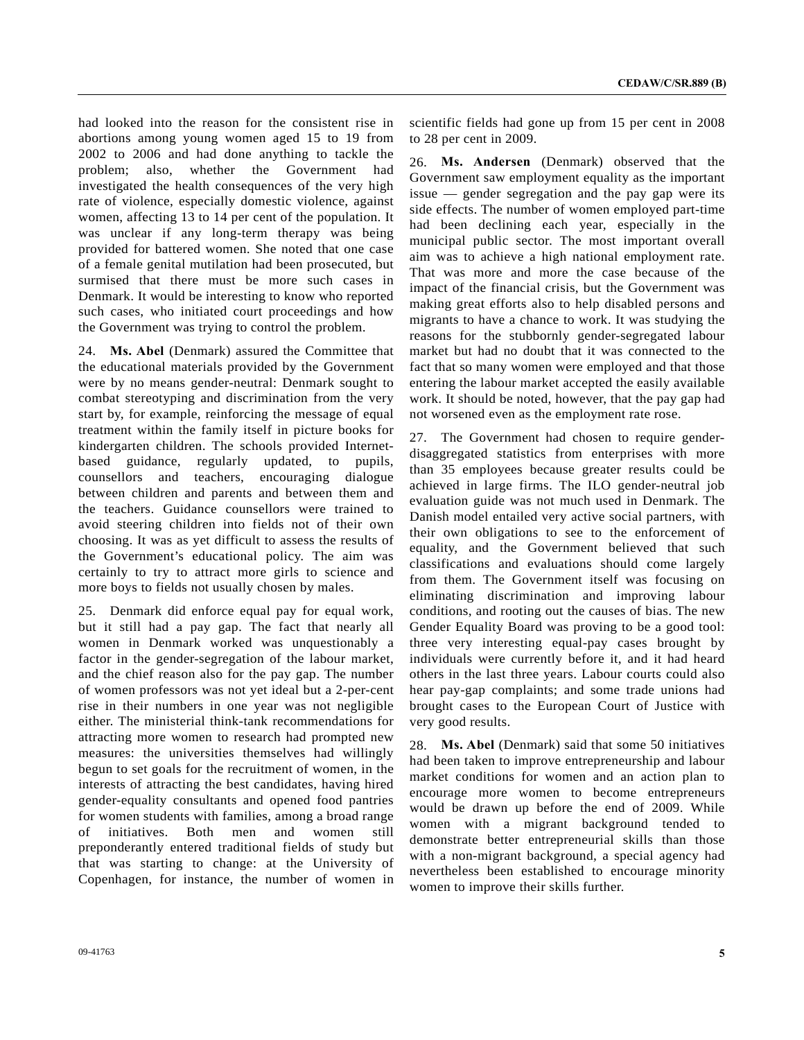had looked into the reason for the consistent rise in abortions among young women aged 15 to 19 from 2002 to 2006 and had done anything to tackle the problem; also, whether the Government had investigated the health consequences of the very high rate of violence, especially domestic violence, against women, affecting 13 to 14 per cent of the population. It was unclear if any long-term therapy was being provided for battered women. She noted that one case of a female genital mutilation had been prosecuted, but surmised that there must be more such cases in Denmark. It would be interesting to know who reported such cases, who initiated court proceedings and how the Government was trying to control the problem.

24. **Ms. Abel** (Denmark) assured the Committee that the educational materials provided by the Government were by no means gender-neutral: Denmark sought to combat stereotyping and discrimination from the very start by, for example, reinforcing the message of equal treatment within the family itself in picture books for kindergarten children. The schools provided Internetbased guidance, regularly updated, to pupils, counsellors and teachers, encouraging dialogue between children and parents and between them and the teachers. Guidance counsellors were trained to avoid steering children into fields not of their own choosing. It was as yet difficult to assess the results of the Government's educational policy. The aim was certainly to try to attract more girls to science and more boys to fields not usually chosen by males.

25. Denmark did enforce equal pay for equal work, but it still had a pay gap. The fact that nearly all women in Denmark worked was unquestionably a factor in the gender-segregation of the labour market, and the chief reason also for the pay gap. The number of women professors was not yet ideal but a 2-per-cent rise in their numbers in one year was not negligible either. The ministerial think-tank recommendations for attracting more women to research had prompted new measures: the universities themselves had willingly begun to set goals for the recruitment of women, in the interests of attracting the best candidates, having hired gender-equality consultants and opened food pantries for women students with families, among a broad range of initiatives. Both men and women still preponderantly entered traditional fields of study but that was starting to change: at the University of Copenhagen, for instance, the number of women in

09-41763 **5** 

scientific fields had gone up from 15 per cent in 2008 to 28 per cent in 2009.

26. **Ms. Andersen** (Denmark) observed that the Government saw employment equality as the important issue — gender segregation and the pay gap were its side effects. The number of women employed part-time had been declining each year, especially in the municipal public sector. The most important overall aim was to achieve a high national employment rate. That was more and more the case because of the impact of the financial crisis, but the Government was making great efforts also to help disabled persons and migrants to have a chance to work. It was studying the reasons for the stubbornly gender-segregated labour market but had no doubt that it was connected to the fact that so many women were employed and that those entering the labour market accepted the easily available work. It should be noted, however, that the pay gap had not worsened even as the employment rate rose.

27. The Government had chosen to require genderdisaggregated statistics from enterprises with more than 35 employees because greater results could be achieved in large firms. The ILO gender-neutral job evaluation guide was not much used in Denmark. The Danish model entailed very active social partners, with their own obligations to see to the enforcement of equality, and the Government believed that such classifications and evaluations should come largely from them. The Government itself was focusing on eliminating discrimination and improving labour conditions, and rooting out the causes of bias. The new Gender Equality Board was proving to be a good tool: three very interesting equal-pay cases brought by individuals were currently before it, and it had heard others in the last three years. Labour courts could also hear pay-gap complaints; and some trade unions had brought cases to the European Court of Justice with very good results.

28. **Ms. Abel** (Denmark) said that some 50 initiatives had been taken to improve entrepreneurship and labour market conditions for women and an action plan to encourage more women to become entrepreneurs would be drawn up before the end of 2009. While women with a migrant background tended to demonstrate better entrepreneurial skills than those with a non-migrant background, a special agency had nevertheless been established to encourage minority women to improve their skills further.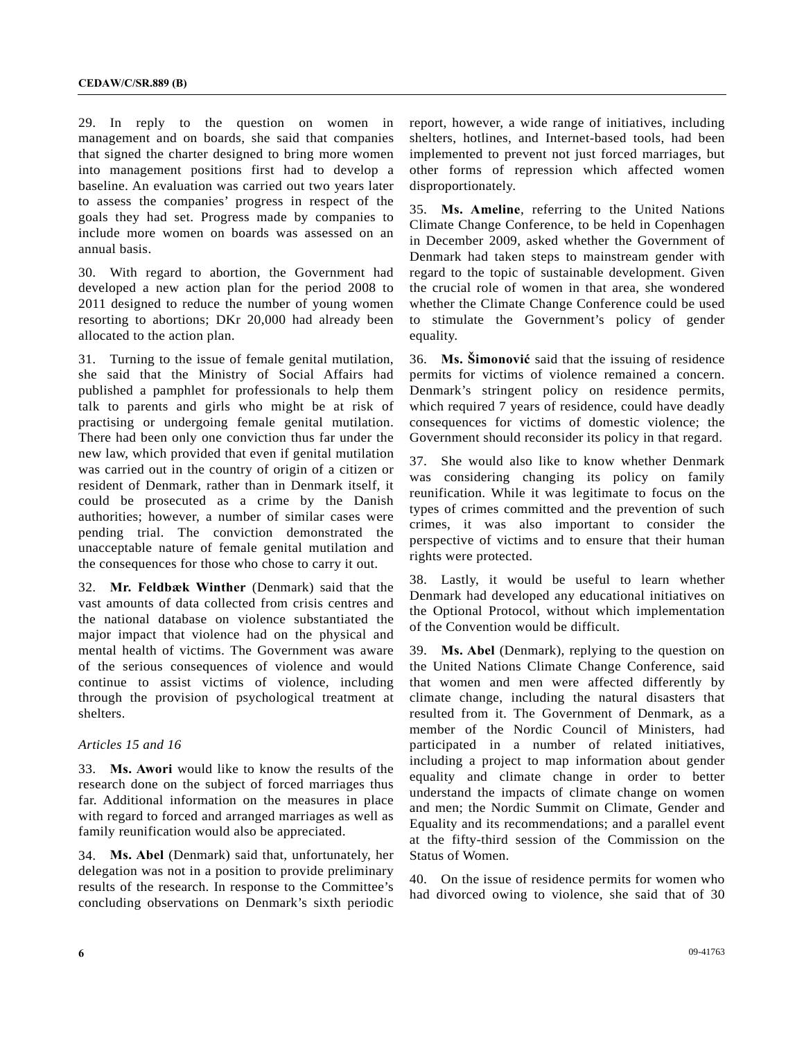29. In reply to the question on women in management and on boards, she said that companies that signed the charter designed to bring more women into management positions first had to develop a baseline. An evaluation was carried out two years later to assess the companies' progress in respect of the goals they had set. Progress made by companies to include more women on boards was assessed on an annual basis.

30. With regard to abortion, the Government had developed a new action plan for the period 2008 to 2011 designed to reduce the number of young women resorting to abortions; DKr 20,000 had already been allocated to the action plan.

31. Turning to the issue of female genital mutilation, she said that the Ministry of Social Affairs had published a pamphlet for professionals to help them talk to parents and girls who might be at risk of practising or undergoing female genital mutilation. There had been only one conviction thus far under the new law, which provided that even if genital mutilation was carried out in the country of origin of a citizen or resident of Denmark, rather than in Denmark itself, it could be prosecuted as a crime by the Danish authorities; however, a number of similar cases were pending trial. The conviction demonstrated the unacceptable nature of female genital mutilation and the consequences for those who chose to carry it out.

32. **Mr. Feldbæk Winther** (Denmark) said that the vast amounts of data collected from crisis centres and the national database on violence substantiated the major impact that violence had on the physical and mental health of victims. The Government was aware of the serious consequences of violence and would continue to assist victims of violence, including through the provision of psychological treatment at shelters.

#### *Articles 15 and 16*

33. **Ms. Awori** would like to know the results of the research done on the subject of forced marriages thus far. Additional information on the measures in place with regard to forced and arranged marriages as well as family reunification would also be appreciated.

34. **Ms. Abel** (Denmark) said that, unfortunately, her delegation was not in a position to provide preliminary results of the research. In response to the Committee's concluding observations on Denmark's sixth periodic

report, however, a wide range of initiatives, including shelters, hotlines, and Internet-based tools, had been implemented to prevent not just forced marriages, but other forms of repression which affected women disproportionately.

35. **Ms. Ameline**, referring to the United Nations Climate Change Conference, to be held in Copenhagen in December 2009, asked whether the Government of Denmark had taken steps to mainstream gender with regard to the topic of sustainable development. Given the crucial role of women in that area, she wondered whether the Climate Change Conference could be used to stimulate the Government's policy of gender equality.

36. **Ms. Šimonović** said that the issuing of residence permits for victims of violence remained a concern. Denmark's stringent policy on residence permits, which required 7 years of residence, could have deadly consequences for victims of domestic violence; the Government should reconsider its policy in that regard.

37. She would also like to know whether Denmark was considering changing its policy on family reunification. While it was legitimate to focus on the types of crimes committed and the prevention of such crimes, it was also important to consider the perspective of victims and to ensure that their human rights were protected.

38. Lastly, it would be useful to learn whether Denmark had developed any educational initiatives on the Optional Protocol, without which implementation of the Convention would be difficult.

39. **Ms. Abel** (Denmark), replying to the question on the United Nations Climate Change Conference, said that women and men were affected differently by climate change, including the natural disasters that resulted from it. The Government of Denmark, as a member of the Nordic Council of Ministers, had participated in a number of related initiatives, including a project to map information about gender equality and climate change in order to better understand the impacts of climate change on women and men; the Nordic Summit on Climate, Gender and Equality and its recommendations; and a parallel event at the fifty-third session of the Commission on the Status of Women.

40. On the issue of residence permits for women who had divorced owing to violence, she said that of 30